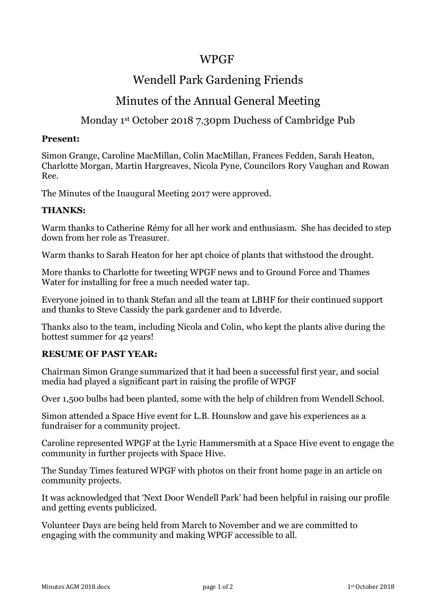### WPGF

# Wendell Park Gardening Friends

## Minutes of the Annual General Meeting

### Monday 1st October 2018 7.30pm Duchess of Cambridge Pub

#### **Present:**

Simon Grange, Caroline MacMillan, Colin MacMillan, Frances Fedden, Sarah Heaton, Charlotte Morgan, Martin Hargreaves, Nicola Pyne, Councilors Rory Vaughan and Rowan Ree.

The Minutes of the Inaugural Meeting 2017 were approved.

#### **THANKS:**

Warm thanks to Catherine Rémy for all her work and enthusiasm. She has decided to step down from her role as Treasurer.

Warm thanks to Sarah Heaton for her apt choice of plants that withstood the drought.

More thanks to Charlotte for tweeting WPGF news and to Ground Force and Thames Water for installing for free a much needed water tap.

Everyone joined in to thank Stefan and all the team at LBHF for their continued support and thanks to Steve Cassidy the park gardener and to Idverde.

Thanks also to the team, including Nicola and Colin, who kept the plants alive during the hottest summer for 42 years!

### **RESUME OF PAST YEAR:**

Chairman Simon Grange summarized that it had been a successful first year, and social media had played a significant part in raising the profile of WPGF

Over 1,500 bulbs had been planted, some with the help of children from Wendell School.

Simon attended a Space Hive event for L.B. Hounslow and gave his experiences as a fundraiser for a community project.

Caroline represented WPGF at the Lyric Hammersmith at a Space Hive event to engage the community in further projects with Space Hive.

The Sunday Times featured WPGF with photos on their front home page in an article on community projects.

It was acknowledged that 'Next Door Wendell Park' had been helpful in raising our profile and getting events publicized.

Volunteer Days are being held from March to November and we are committed to engaging with the community and making WPGF accessible to all.